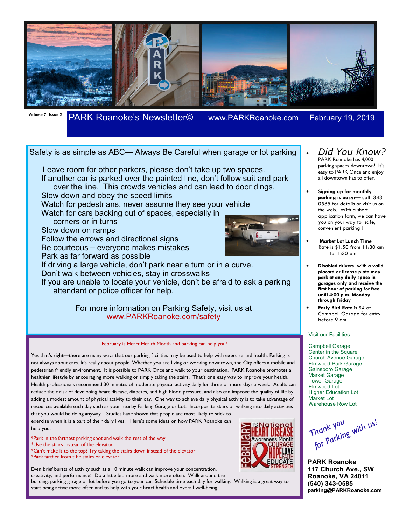

## **Volume 7, Issue 2** PARK Roanoke's Newsletter© www.PARKRoanoke.com February 19, 2019

### Safety is as simple as ABC— Always Be Careful when garage or lot parking

 Leave room for other parkers, please don't take up two spaces. If another car is parked over the painted line, don't follow suit and park over the line. This crowds vehicles and can lead to door dings.

Slow down and obey the speed limits

Watch for pedestrians, never assume they see your vehicle

Watch for cars backing out of spaces, especially in

corners or in turns

Slow down on ramps

Follow the arrows and directional signs

Be courteous – everyone makes mistakes

Park as far forward as possible

If driving a large vehicle, don't park near a turn or in a curve. Don't walk between vehicles, stay in crosswalks

If you are unable to locate your vehicle, don't be afraid to ask a parking attendant or police officer for help.

> For more information on Parking Safety, visit us at www.PARKRoanoke.com/safety

#### February is Heart Health Month and parking can help you!

Yes that's right—there are many ways that our parking facilities may be used to help with exercise and health. Parking is not always about cars. It's really about people. Whether you are living or working downtown, the City offers a mobile and pedestrian friendly environment. It is possible to PARK Once and walk to your destination. PARK Roanoke promotes a healthier lifestyle by encouraging more walking or simply taking the stairs. That's one easy way to improve your health. Health professionals recommend 30 minutes of moderate physical activity daily for three or more days a week. Adults can reduce their risk of developing heart disease, diabetes, and high blood pressure, and also can improve the quality of life by adding a modest amount of physical activity to their day. One way to achieve daily physical activity is to take advantage of resources available each day such as your nearby Parking Garage or Lot. Incorporate stairs or walking into daily activities

that you would be doing anyway. Studies have shown that people are most likely to stick to exercise when it is a part of their daily lives. Here's some ideas on how PARK Roanoke can help you:

\*Park in the farthest parking spot and walk the rest of the way. \*Use the stairs instead of the elevator \*Can't make it to the top? Try taking the stairs down instead of the elevator. \*Park farther from t he stairs or elevator.

Even brief bursts of activity such as a 10 minute walk can improve your concentration, creativity, and performance! Do a little bit more and walk more often. Walk around the building, parking garage or lot before you go to your car. Schedule time each day for walking. Walking is a great way to start being active more often and to help with your heart health and overall well-being.



• *Did You Know?*  PARK Roanoke has 4,000 parking spaces downtown! It's easy to PARK Once and enjoy all downtown has to offer.

- **Signing up for monthly parking is easy:**— call 343- 0585 for details or visit us on the web. With a short application form, we can have you on your way to safe, convenient parking !
- **Market Lot Lunch Time** Rate is \$1.50 from 11:30 am to 1:30 pm
- **Disabled drivers with a valid placard or license plate may park at any daily space in garages only and receive the first hour of parking for free until 4:00 p.m. Monday through Friday**
- **Early Bird Rate** is \$4 at Campbell Garage for entry before 9 am

#### Visit our Facilities:

Campbell Garage Center in the Square Church Avenue Garage Elmwood Park Garage Gainsboro Garage Market Garage Tower Garage Elmwood Lot Higher Education Lot Market Lot Warehouse Row Lot

Thank you<br>for Parking with us! Thank you

**PARK Roanoke 117 Church Ave., SW Roanoke, VA 24011 (540) 343-0585 parking@PARKRoanoke.com**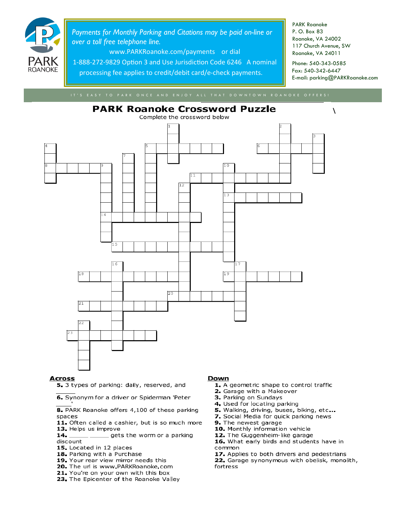

Payments for Monthly Parking and Citations may be paid on-line or over a toll free telephone line.

www.PARKRoanoke.com/payments or dial

1-888-272-9829 Option 3 and Use Jurisdiction Code 6246 A nominal processing fee applies to credit/debit card/e-check payments.

**PARK Roanoke** P. O. Box 83 Roanoke, VA 24002 117 Church Avenue, SW Roanoke, VA 24011

Phone: 540-343-0585 Fax: 540-342-6447 E-mail: parking@PARKRoanoke.com

 $\lambda$ 



#### **Across**

5. 3 types of parking: daily, reserved, and

6. Synonym for a driver or Spiderman 'Peter

8. PARK Roanoke offers 4,100 of these parking spaces

- 11. Often called a cashier, but is so much more 13. Helps us improve
- gets the worm or a parking 14.
- discount
- 15. Located in 12 places
- 18. Parking with a Purchase
- 19. Your rear view mirror needs this
- 20. The url is www.PARKRoanoke.com
- 21. You're on your own with this box
- 23. The Epicenter of the Roanoke Valley

#### Down

- 1. A geometric shape to control traffic
- 2. Garage with a Makeover
- 3. Parking on Sundays
- 4. Used for locating parking
- 5. Walking, driving, buses, biking, etc...
- 7. Social Media for quick parking news
- 9. The newest garage
- 10. Monthly information vehicle
- 12. The Guggenheim-like garage

16. What early birds and students have in common

17. Applies to both drivers and pedestrians

22. Garage synonymous with obelisk, monolith, fortress